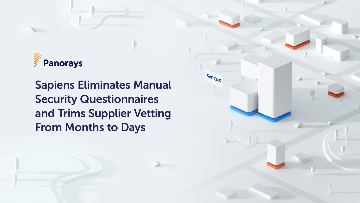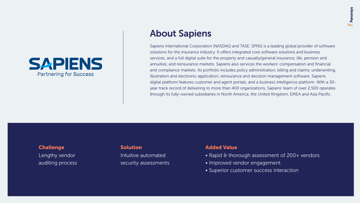## **About Sapiens**

Sapiens International Corporation (NASDAQ and TASE: SPNS) is a leading global provider of software solutions for the insurance industry. It offers integrated core software solutions and business services, and a full digital suite for the property and casualty/general insurance; life, pension and annuities; and reinsurance markets. Sapiens also services the workers' compensation and financial and compliance markets. Its portfolio includes policy administration, billing and claims; underwriting, illustration and electronic application; reinsurance and decision management software. Sapiens digital platform features customer and agent portals, and a business intelligence platform. With a 30year track record of delivering to more than 400 organizations, Sapiens' team of over 2,500 operates through its fully-owned subsidiaries in North America, the United Kingdom, EMEA and Asia Pacific.



Lengthy vendor auditing process

Intuitive automated security assessments

### **Challenge Challenge Challenge Challenge Challenge Challenge Challenge Challenge Challenge Challenge Challenge Challenge Challenge Challenge Challenge Challenge Challenge Challenge**

- Rapid & thorough assessment of  $200+$  vendors
- · Improved vendor engagement
- Superior customer success interaction

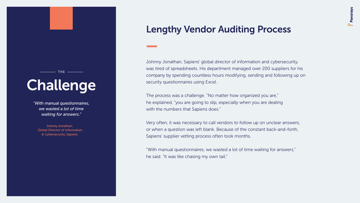# Challenge

 $-$  THE  $-$ 

*"With manual questionnaires, we wasted a lot of time* waiting for answers."

Johnny Jonathan, **Global Director of Information** & Cybersecurity, Sapiens

## Lengthy Vendor Auditing Process

Johnny Jonathan, Sapiens' global director of information and cybersecurity, was tired of spreadsheets. His department managed over 200 suppliers for his company by spending countless hours modifying, sending and following up on security questionnaires using Excel.

The process was a challenge. "No matter how organized you are," he explained, "you are going to slip, especially when you are dealing with the numbers that Sapiens does."

Very often, it was necessary to call vendors to follow up on unclear answers, or when a question was left blank. Because of the constant back-and-forth, Sapiens' supplier vetting process often took months.

"With manual questionnaires, we wasted a lot of time waiting for answers," he said. "It was like chasing my own tail."

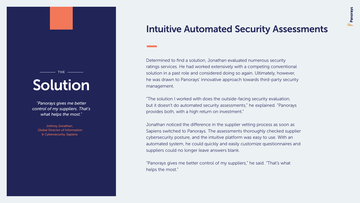Determined to find a solution, Jonathan evaluated numerous security ratings services. He had worked extensively with a competing conventional solution in a past role and considered doing so again. Ultimately, however, he was drawn to Panorays' innovative approach towards third-party security .management

"The solution I worked with does the outside-facing security evaluation, but it doesn't do automated security assessments," he explained. "Panorays provides both, with a high return on investment."

Jonathan noticed the difference in the supplier vetting process as soon as Sapiens switched to Panorays. The assessments thoroughly checked supplier cybersecurity posture, and the intuitive platform was easy to use. With an automated system, he could quickly and easily customize questionnaires and suppliers could no longer leave answers blank.

"Panorays gives me better control of my suppliers," he said. "That's what helps the most."



## Solution

THE **\_\_\_\_\_\_** 

*"Panorays gives me better* control of my suppliers. That's what helps the most."

Johnny Jonathan, **Global Director of Information** & Cybersecurity, Sapiens

## **Intuitive Automated Security Assessments**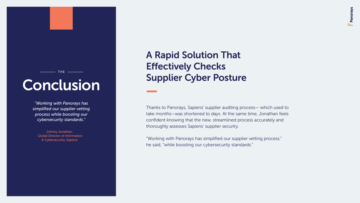$-$  THE  $-$ 

*<sup>\*</sup>Working with Panorays has* simplified our supplier vetting process while boosting our cybersecurity standards."

Johnny Jonathan, **Global Director of Information** & Cybersecurity, Sapiens

## A Rapid Solution That **Effectively Checks** Conclusion Supplier Cyber Posture

Thanks to Panorays, Sapiens' supplier auditing process- which used to take months-was shortened to days. At the same time, Jonathan feels confident knowing that the new, streamlined process accurately and thoroughly assesses Sapiens' supplier security.

"Working with Panorays has simplified our supplier vetting process," he said, "while boosting our cybersecurity standards."